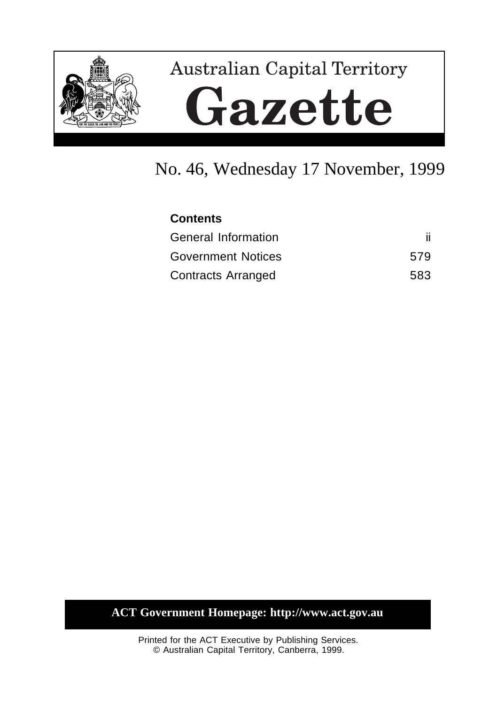

# **Australian Capital Territory** Gazette

## No. 46, Wednesday 17 November, 1999

| <b>Contents</b>            |     |
|----------------------------|-----|
| <b>General Information</b> | ii. |
| <b>Government Notices</b>  | 579 |
| <b>Contracts Arranged</b>  | 583 |

#### **ACT Government Homepage: http://www.act.gov.au**

Printed for the ACT Executive by Publishing Services. © Australian Capital Territory, Canberra, 1999.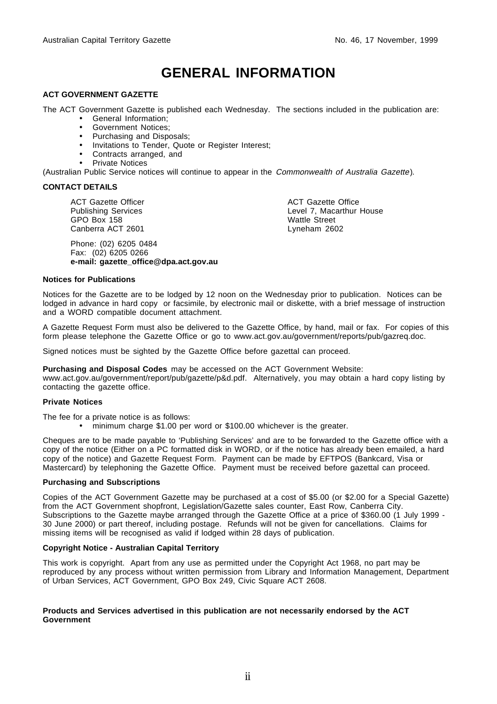## **GENERAL INFORMATION**

#### **ACT GOVERNMENT GAZETTE**

The ACT Government Gazette is published each Wednesday. The sections included in the publication are:

- General Information;
- Government Notices;
- Purchasing and Disposals;
- Invitations to Tender, Quote or Register Interest;
- Contracts arranged, and
- Private Notices

(Australian Public Service notices will continue to appear in the Commonwealth of Australia Gazette).

#### **CONTACT DETAILS**

ACT Gazette Officer Publishing Services GPO Box 158 Canberra ACT 2601

Phone: (02) 6205 0484 Fax: (02) 6205 0266 **e-mail: gazette\_office@dpa.act.gov.au** ACT Gazette Office Level 7, Macarthur House Wattle Street Lyneham 2602

#### **Notices for Publications**

Notices for the Gazette are to be lodged by 12 noon on the Wednesday prior to publication. Notices can be lodged in advance in hard copy or facsimile, by electronic mail or diskette, with a brief message of instruction and a WORD compatible document attachment.

A Gazette Request Form must also be delivered to the Gazette Office, by hand, mail or fax. For copies of this form please telephone the Gazette Office or go to www.act.gov.au/government/reports/pub/gazreq.doc.

Signed notices must be sighted by the Gazette Office before gazettal can proceed.

**Purchasing and Disposal Codes** may be accessed on the ACT Government Website:

www.act.gov.au/government/report/pub/gazette/p&d.pdf. Alternatively, you may obtain a hard copy listing by contacting the gazette office.

#### **Private Notices**

The fee for a private notice is as follows:

• minimum charge \$1.00 per word or \$100.00 whichever is the greater.

Cheques are to be made payable to 'Publishing Services' and are to be forwarded to the Gazette office with a copy of the notice (Either on a PC formatted disk in WORD, or if the notice has already been emailed, a hard copy of the notice) and Gazette Request Form. Payment can be made by EFTPOS (Bankcard, Visa or Mastercard) by telephoning the Gazette Office. Payment must be received before gazettal can proceed.

#### **Purchasing and Subscriptions**

Copies of the ACT Government Gazette may be purchased at a cost of \$5.00 (or \$2.00 for a Special Gazette) from the ACT Government shopfront, Legislation/Gazette sales counter, East Row, Canberra City. Subscriptions to the Gazette maybe arranged through the Gazette Office at a price of \$360.00 (1 July 1999 -30 June 2000) or part thereof, including postage. Refunds will not be given for cancellations. Claims for missing items will be recognised as valid if lodged within 28 days of publication.

#### **Copyright Notice - Australian Capital Territory**

This work is copyright. Apart from any use as permitted under the Copyright Act 1968, no part may be reproduced by any process without written permission from Library and Information Management, Department of Urban Services, ACT Government, GPO Box 249, Civic Square ACT 2608.

#### **Products and Services advertised in this publication are not necessarily endorsed by the ACT Government**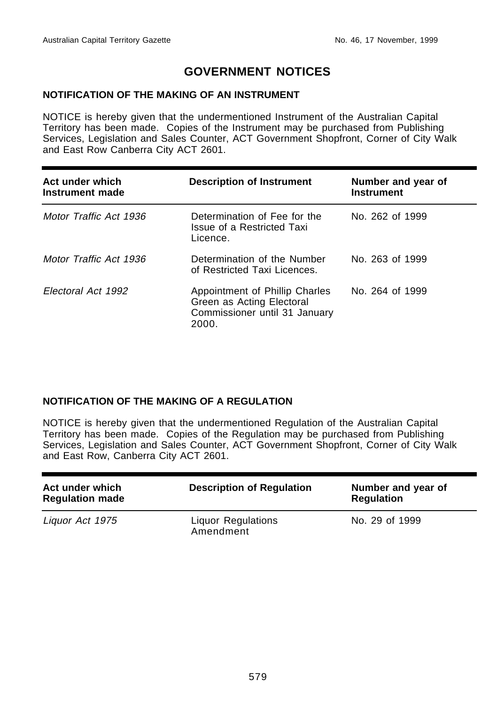#### **GOVERNMENT NOTICES**

#### **NOTIFICATION OF THE MAKING OF AN INSTRUMENT**

NOTICE is hereby given that the undermentioned Instrument of the Australian Capital Territory has been made. Copies of the Instrument may be purchased from Publishing Services, Legislation and Sales Counter, ACT Government Shopfront, Corner of City Walk and East Row Canberra City ACT 2601.

| Act under which<br>Instrument made | <b>Description of Instrument</b>                                                                      | Number and year of<br><b>Instrument</b> |
|------------------------------------|-------------------------------------------------------------------------------------------------------|-----------------------------------------|
| Motor Traffic Act 1936             | Determination of Fee for the<br>Issue of a Restricted Taxi<br>Licence.                                | No. 262 of 1999                         |
| Motor Traffic Act 1936             | Determination of the Number<br>of Restricted Taxi Licences.                                           | No. 263 of 1999                         |
| Electoral Act 1992                 | Appointment of Phillip Charles<br>Green as Acting Electoral<br>Commissioner until 31 January<br>2000. | No. 264 of 1999                         |

#### **NOTIFICATION OF THE MAKING OF A REGULATION**

NOTICE is hereby given that the undermentioned Regulation of the Australian Capital Territory has been made. Copies of the Regulation may be purchased from Publishing Services, Legislation and Sales Counter, ACT Government Shopfront, Corner of City Walk and East Row, Canberra City ACT 2601.

| Act under which<br><b>Regulation made</b> | <b>Description of Regulation</b>       | Number and year of<br><b>Regulation</b> |
|-------------------------------------------|----------------------------------------|-----------------------------------------|
| Liquor Act 1975                           | <b>Liquor Regulations</b><br>Amendment | No. 29 of 1999                          |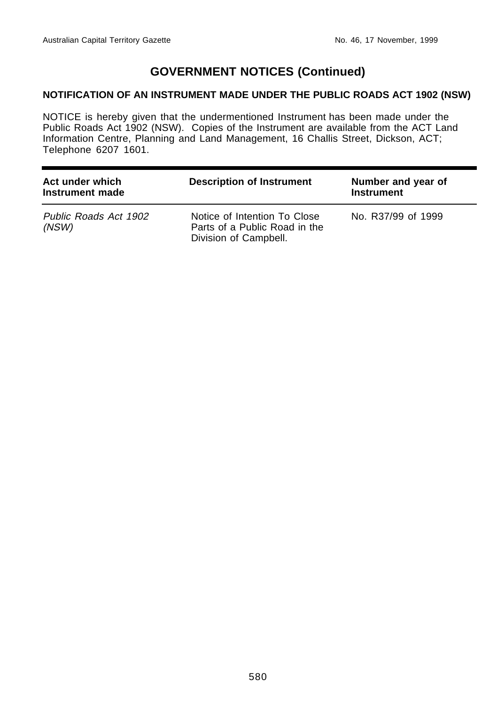#### **GOVERNMENT NOTICES (Continued)**

#### **NOTIFICATION OF AN INSTRUMENT MADE UNDER THE PUBLIC ROADS ACT 1902 (NSW)**

NOTICE is hereby given that the undermentioned Instrument has been made under the Public Roads Act 1902 (NSW). Copies of the Instrument are available from the ACT Land Information Centre, Planning and Land Management, 16 Challis Street, Dickson, ACT; Telephone 6207 1601.

| Act under which<br>Instrument made | <b>Description of Instrument</b>                                                       | Number and year of<br><b>Instrument</b> |
|------------------------------------|----------------------------------------------------------------------------------------|-----------------------------------------|
| Public Roads Act 1902<br>(NSW)     | Notice of Intention To Close<br>Parts of a Public Road in the<br>Division of Campbell. | No. R37/99 of 1999                      |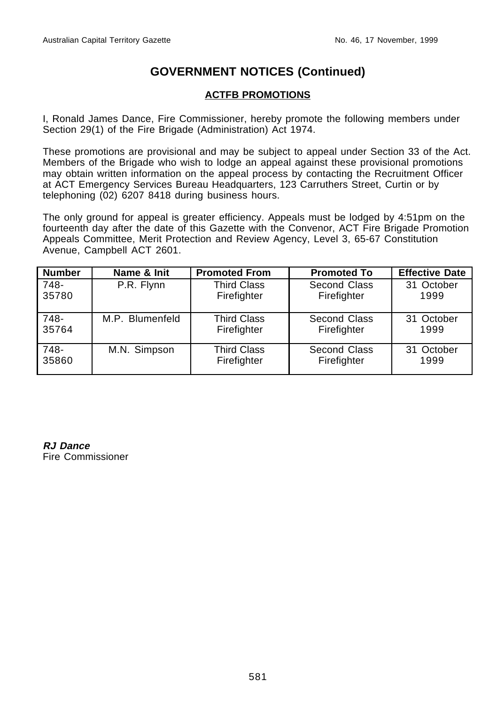#### **GOVERNMENT NOTICES (Continued)**

#### **ACTFB PROMOTIONS**

I, Ronald James Dance, Fire Commissioner, hereby promote the following members under Section 29(1) of the Fire Brigade (Administration) Act 1974.

These promotions are provisional and may be subject to appeal under Section 33 of the Act. Members of the Brigade who wish to lodge an appeal against these provisional promotions may obtain written information on the appeal process by contacting the Recruitment Officer at ACT Emergency Services Bureau Headquarters, 123 Carruthers Street, Curtin or by telephoning (02) 6207 8418 during business hours.

The only ground for appeal is greater efficiency. Appeals must be lodged by 4:51pm on the fourteenth day after the date of this Gazette with the Convenor, ACT Fire Brigade Promotion Appeals Committee, Merit Protection and Review Agency, Level 3, 65-67 Constitution Avenue, Campbell ACT 2601.

| <b>Number</b> | Name & Init     | <b>Promoted From</b> | <b>Promoted To</b> | <b>Effective Date</b> |
|---------------|-----------------|----------------------|--------------------|-----------------------|
| 748-          | P.R. Flynn      | <b>Third Class</b>   | Second Class       | 31 October            |
| 35780         |                 | Firefighter          | Firefighter        | 1999                  |
| 748-          | M.P. Blumenfeld | <b>Third Class</b>   | Second Class       | 31 October            |
| 35764         |                 | Firefighter          | Firefighter        | 1999                  |
| 748-          | M.N. Simpson    | <b>Third Class</b>   | Second Class       | 31 October            |
| 35860         |                 | Firefighter          | Firefighter        | 1999                  |

**RJ Dance** Fire Commissioner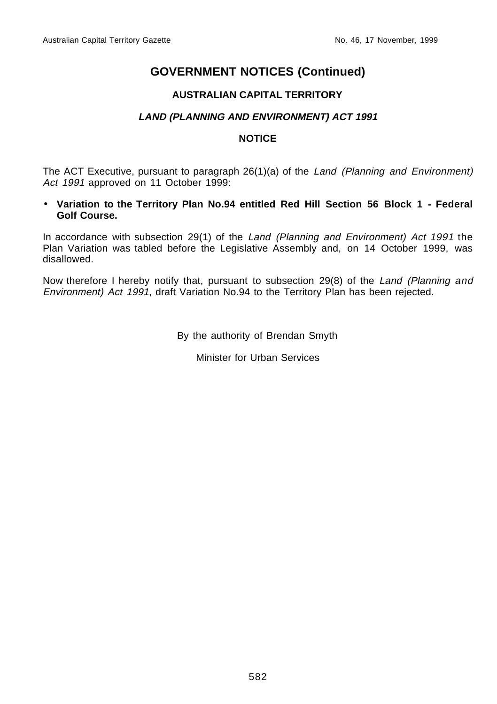#### **GOVERNMENT NOTICES (Continued)**

#### **AUSTRALIAN CAPITAL TERRITORY**

#### **LAND (PLANNING AND ENVIRONMENT) ACT 1991**

#### **NOTICE**

The ACT Executive, pursuant to paragraph 26(1)(a) of the Land (Planning and Environment) Act 1991 approved on 11 October 1999:

• **Variation to the Territory Plan No.94 entitled Red Hill Section 56 Block 1 - Federal Golf Course.**

In accordance with subsection 29(1) of the Land (Planning and Environment) Act 1991 the Plan Variation was tabled before the Legislative Assembly and, on 14 October 1999, was disallowed.

Now therefore I hereby notify that, pursuant to subsection 29(8) of the Land (Planning and Environment) Act 1991, draft Variation No.94 to the Territory Plan has been rejected.

By the authority of Brendan Smyth

Minister for Urban Services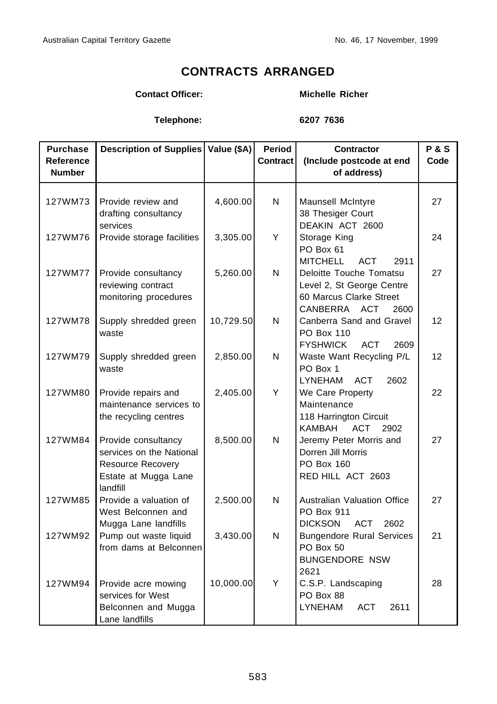### **CONTRACTS ARRANGED**

#### **Contact Officer: Michelle Richer**

**Telephone: 6207 7636**

| <b>Purchase</b>  | Description of Supplies   Value (\$A)                                                                    |           | Period          | <b>Contractor</b>                                                                                       | <b>P&amp;S</b>  |
|------------------|----------------------------------------------------------------------------------------------------------|-----------|-----------------|---------------------------------------------------------------------------------------------------------|-----------------|
| <b>Reference</b> |                                                                                                          |           | <b>Contract</b> | (Include postcode at end                                                                                | Code            |
| <b>Number</b>    |                                                                                                          |           |                 | of address)                                                                                             |                 |
| 127WM73          | Provide review and<br>drafting consultancy<br>services                                                   | 4,600.00  | N               | Maunsell McIntyre<br>38 Thesiger Court<br>DEAKIN ACT 2600                                               | 27              |
| 127WM76          | Provide storage facilities                                                                               | 3,305.00  | Y               | Storage King<br>PO Box 61<br><b>MITCHELL</b><br><b>ACT</b><br>2911                                      | 24              |
| 127WM77          | Provide consultancy<br>reviewing contract<br>monitoring procedures                                       | 5,260.00  | N               | Deloitte Touche Tomatsu<br>Level 2, St George Centre<br>60 Marcus Clarke Street<br>CANBERRA ACT<br>2600 | 27              |
| 127WM78          | Supply shredded green<br>waste                                                                           | 10,729.50 | N               | Canberra Sand and Gravel<br>PO Box 110<br><b>FYSHWICK</b><br><b>ACT</b><br>2609                         | 12 <sup>2</sup> |
| 127WM79          | Supply shredded green<br>waste                                                                           | 2,850.00  | N               | Waste Want Recycling P/L<br>PO Box 1<br><b>LYNEHAM</b><br><b>ACT</b><br>2602                            | 12              |
| 127WM80          | Provide repairs and<br>maintenance services to<br>the recycling centres                                  | 2,405.00  | Υ               | We Care Property<br>Maintenance<br>118 Harrington Circuit<br><b>KAMBAH</b><br><b>ACT</b><br>2902        | 22              |
| 127WM84          | Provide consultancy<br>services on the National<br>Resource Recovery<br>Estate at Mugga Lane<br>landfill | 8,500.00  | N               | Jeremy Peter Morris and<br>Dorren Jill Morris<br>PO Box 160<br>RED HILL ACT 2603                        | 27              |
| 127WM85          | Provide a valuation of<br>West Belconnen and<br>Mugga Lane landfills                                     | 2,500.00  | N               | <b>Australian Valuation Office</b><br>PO Box 911<br><b>DICKSON</b><br><b>ACT</b><br>2602                | 27              |
| 127WM92          | Pump out waste liquid<br>from dams at Belconnen                                                          | 3,430.00  | N               | <b>Bungendore Rural Services</b><br>PO Box 50<br><b>BUNGENDORE NSW</b><br>2621                          | 21              |
| 127WM94          | Provide acre mowing<br>services for West<br>Belconnen and Mugga<br>Lane landfills                        | 10,000.00 | Y               | C.S.P. Landscaping<br>PO Box 88<br><b>LYNEHAM</b><br><b>ACT</b><br>2611                                 | 28              |